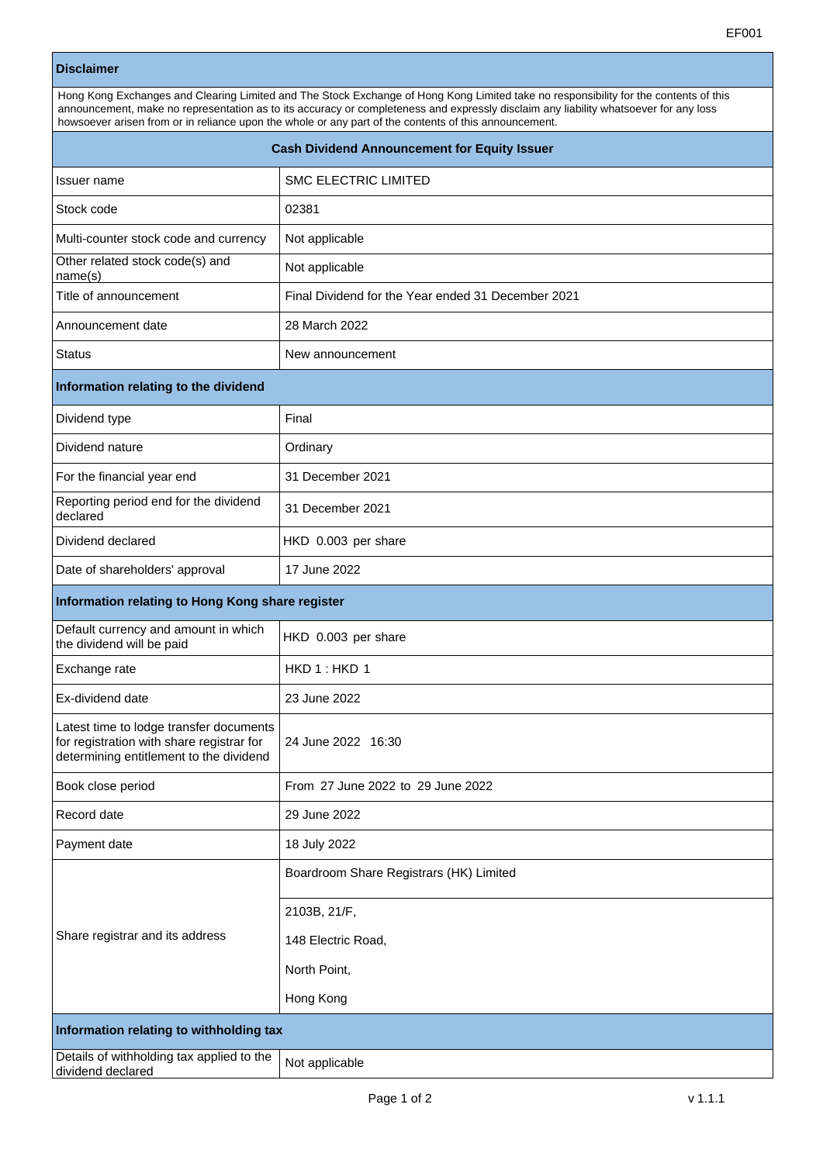## **Disclaimer**

| Hong Kong Exchanges and Clearing Limited and The Stock Exchange of Hong Kong Limited take no responsibility for the contents of this<br>announcement, make no representation as to its accuracy or completeness and expressly disclaim any liability whatsoever for any loss<br>howsoever arisen from or in reliance upon the whole or any part of the contents of this announcement. |                      |  |
|---------------------------------------------------------------------------------------------------------------------------------------------------------------------------------------------------------------------------------------------------------------------------------------------------------------------------------------------------------------------------------------|----------------------|--|
| <b>Cash Dividend Announcement for Equity Issuer</b>                                                                                                                                                                                                                                                                                                                                   |                      |  |
| Issuer name                                                                                                                                                                                                                                                                                                                                                                           | SMC ELECTRIC LIMITED |  |

| Stock code                                                                                                                      | 02381                                              |  |
|---------------------------------------------------------------------------------------------------------------------------------|----------------------------------------------------|--|
| Multi-counter stock code and currency                                                                                           | Not applicable                                     |  |
| Other related stock code(s) and<br>name(s)                                                                                      | Not applicable                                     |  |
| Title of announcement                                                                                                           | Final Dividend for the Year ended 31 December 2021 |  |
| Announcement date                                                                                                               | 28 March 2022                                      |  |
| Status                                                                                                                          | New announcement                                   |  |
| Information relating to the dividend                                                                                            |                                                    |  |
| Dividend type                                                                                                                   | Final                                              |  |
| Dividend nature                                                                                                                 | Ordinary                                           |  |
| For the financial year end                                                                                                      | 31 December 2021                                   |  |
| Reporting period end for the dividend<br>declared                                                                               | 31 December 2021                                   |  |
| Dividend declared                                                                                                               | HKD 0.003 per share                                |  |
| Date of shareholders' approval                                                                                                  | 17 June 2022                                       |  |
| Information relating to Hong Kong share register                                                                                |                                                    |  |
| Default currency and amount in which<br>the dividend will be paid                                                               | HKD 0.003 per share                                |  |
| Exchange rate                                                                                                                   | HKD1:HKD1                                          |  |
| Ex-dividend date                                                                                                                | 23 June 2022                                       |  |
| Latest time to lodge transfer documents<br>for registration with share registrar for<br>determining entitlement to the dividend | 24 June 2022 16:30                                 |  |
| Book close period                                                                                                               | From 27 June 2022 to 29 June 2022                  |  |
| Record date                                                                                                                     | 29 June 2022                                       |  |
| Payment date                                                                                                                    | 18 July 2022                                       |  |
|                                                                                                                                 | Boardroom Share Registrars (HK) Limited            |  |
|                                                                                                                                 | 2103B, 21/F,                                       |  |
| Share registrar and its address                                                                                                 | 148 Electric Road,                                 |  |
|                                                                                                                                 | North Point,                                       |  |
|                                                                                                                                 | Hong Kong                                          |  |
| Information relating to withholding tax                                                                                         |                                                    |  |
| Details of withholding tax applied to the<br>dividend declared                                                                  | Not applicable                                     |  |